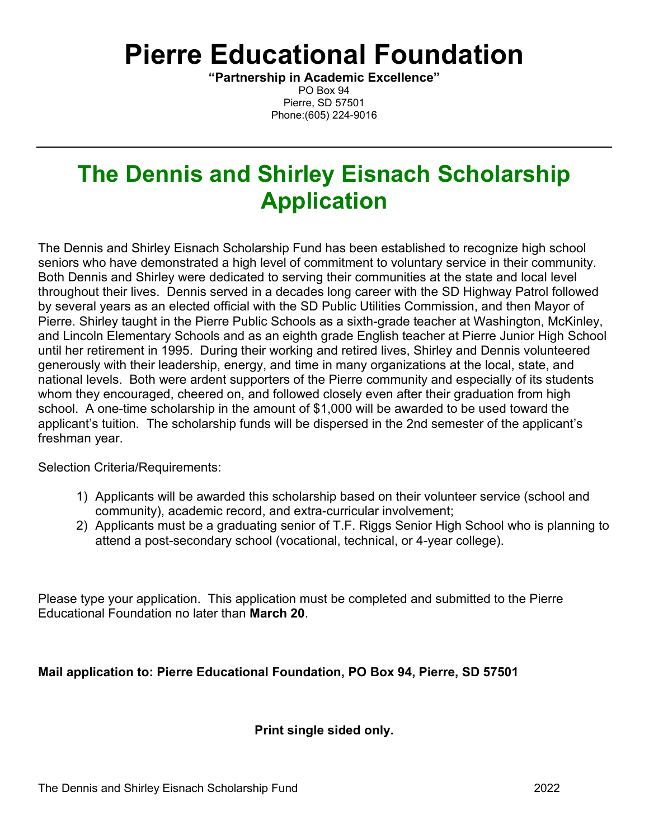# **Pierre Educational Foundation**

**"Partnership in Academic Excellence"** PO Box 94 Pierre, SD 57501 Phone:(605) 224-9016

## **The Dennis and Shirley Eisnach Scholarship Application**

The Dennis and Shirley Eisnach Scholarship Fund has been established to recognize high school seniors who have demonstrated a high level of commitment to voluntary service in their community. Both Dennis and Shirley were dedicated to serving their communities at the state and local level throughout their lives. Dennis served in a decades long career with the SD Highway Patrol followed by several years as an elected official with the SD Public Utilities Commission, and then Mayor of Pierre. Shirley taught in the Pierre Public Schools as a sixth-grade teacher at Washington, McKinley, and Lincoln Elementary Schools and as an eighth grade English teacher at Pierre Junior High School until her retirement in 1995. During their working and retired lives, Shirley and Dennis volunteered generously with their leadership, energy, and time in many organizations at the local, state, and national levels. Both were ardent supporters of the Pierre community and especially of its students whom they encouraged, cheered on, and followed closely even after their graduation from high school. A one-time scholarship in the amount of \$1,000 will be awarded to be used toward the applicant's tuition. The scholarship funds will be dispersed in the 2nd semester of the applicant's freshman year.

Selection Criteria/Requirements:

- 1) Applicants will be awarded this scholarship based on their volunteer service (school and community), academic record, and extra-curricular involvement;
- 2) Applicants must be a graduating senior of T.F. Riggs Senior High School who is planning to attend a post-secondary school (vocational, technical, or 4-year college).

Please type your application. This application must be completed and submitted to the Pierre Educational Foundation no later than **March 20**.

## **Mail application to: Pierre Educational Foundation, PO Box 94, Pierre, SD 57501**

## **Print single sided only.**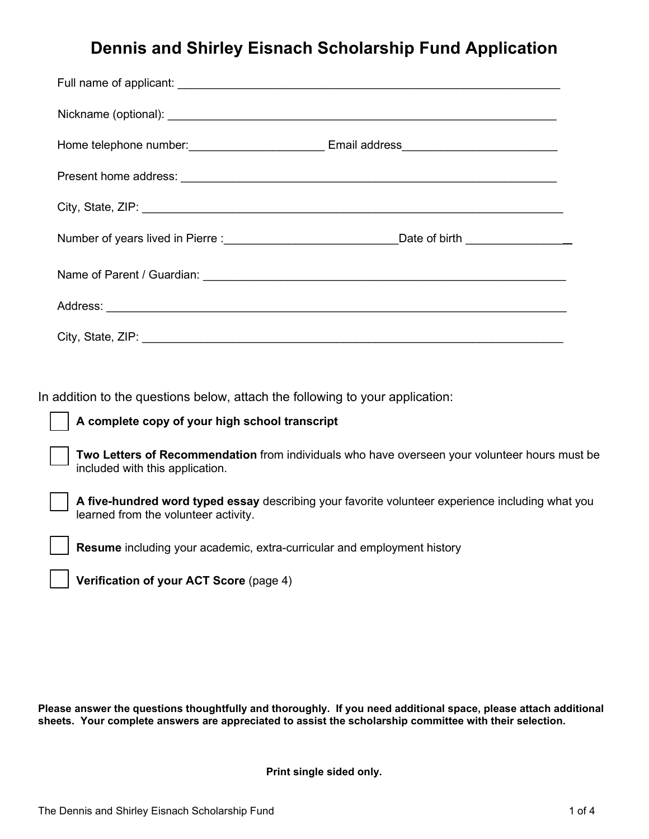## **Dennis and Shirley Eisnach Scholarship Fund Application**

| Home telephone number: _________________________________Email address_______________________________           |  |
|----------------------------------------------------------------------------------------------------------------|--|
|                                                                                                                |  |
| City, State, ZIP: 2008. Example 2014 19: 2014 19: 2015 19: 2016 19: 2016 19: 2016 19: 2016 19: 2016 19: 2016 1 |  |
|                                                                                                                |  |
|                                                                                                                |  |
|                                                                                                                |  |
|                                                                                                                |  |

In addition to the questions below, attach the following to your application:

#### **A complete copy of your high school transcript**

**Two Letters of Recommendation** from individuals who have overseen your volunteer hours must be included with this application.

**A five-hundred word typed essay** describing your favorite volunteer experience including what you learned from the volunteer activity.

**Resume** including your academic, extra-curricular and employment history

**Verification of your ACT Score** (page 4)

**Please answer the questions thoughtfully and thoroughly. If you need additional space, please attach additional sheets. Your complete answers are appreciated to assist the scholarship committee with their selection.** 

**Print single sided only.**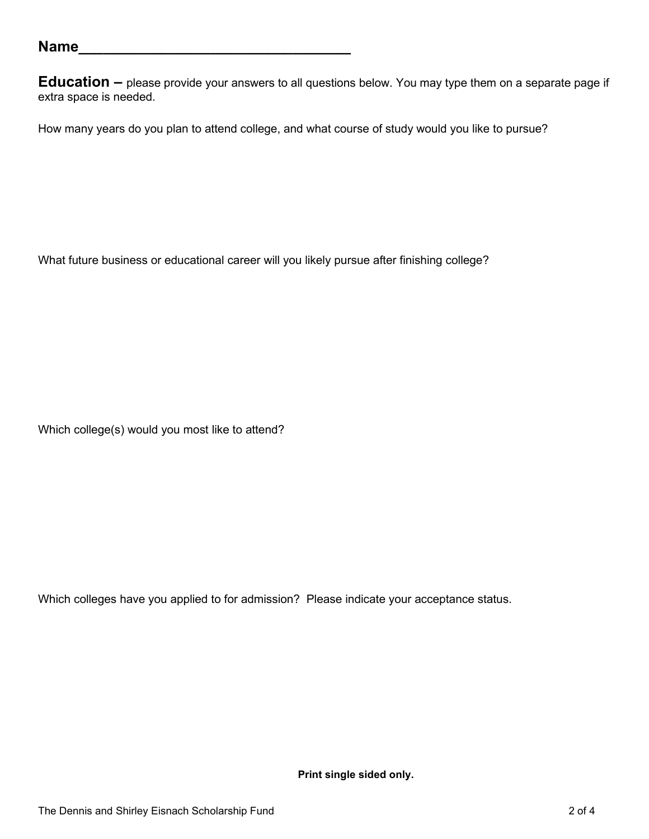**Education –** please provide your answers to all questions below. You may type them on a separate page if extra space is needed.

How many years do you plan to attend college, and what course of study would you like to pursue?

What future business or educational career will you likely pursue after finishing college?

Which college(s) would you most like to attend?

Which colleges have you applied to for admission? Please indicate your acceptance status.

**Print single sided only.**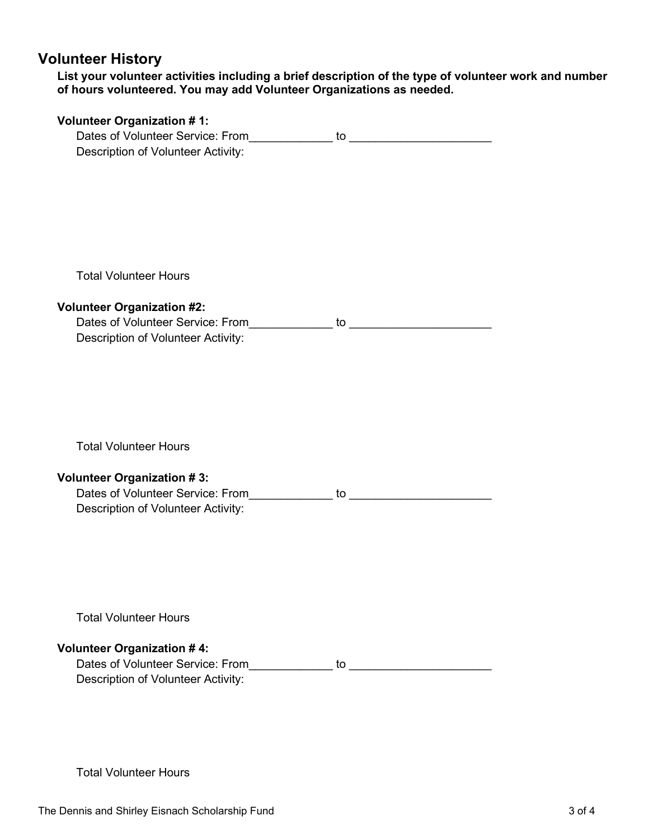## **Volunteer History**

**List your volunteer activities including a brief description of the type of volunteer work and number of hours volunteered. You may add Volunteer Organizations as needed.** 

| <b>Volunteer Organization #1:</b>                                                    |  |
|--------------------------------------------------------------------------------------|--|
|                                                                                      |  |
| Description of Volunteer Activity:                                                   |  |
|                                                                                      |  |
|                                                                                      |  |
|                                                                                      |  |
|                                                                                      |  |
|                                                                                      |  |
|                                                                                      |  |
|                                                                                      |  |
| <b>Total Volunteer Hours</b>                                                         |  |
|                                                                                      |  |
| <b>Volunteer Organization #2:</b>                                                    |  |
| Dates of Volunteer Service: From interest to the contract of Volunteer Service: From |  |
| Description of Volunteer Activity:                                                   |  |
|                                                                                      |  |
|                                                                                      |  |
|                                                                                      |  |
|                                                                                      |  |
|                                                                                      |  |
|                                                                                      |  |
| <b>Total Volunteer Hours</b>                                                         |  |
|                                                                                      |  |
| <b>Volunteer Organization #3:</b>                                                    |  |
| Dates of Volunteer Service: From                                                     |  |
| Description of Volunteer Activity:                                                   |  |
|                                                                                      |  |
|                                                                                      |  |
|                                                                                      |  |
|                                                                                      |  |
|                                                                                      |  |
|                                                                                      |  |
| <b>Total Volunteer Hours</b>                                                         |  |
|                                                                                      |  |
| <b>Volunteer Organization #4:</b>                                                    |  |
| Dates of Volunteer Service: From                                                     |  |
| Description of Volunteer Activity:                                                   |  |
|                                                                                      |  |
|                                                                                      |  |

Total Volunteer Hours